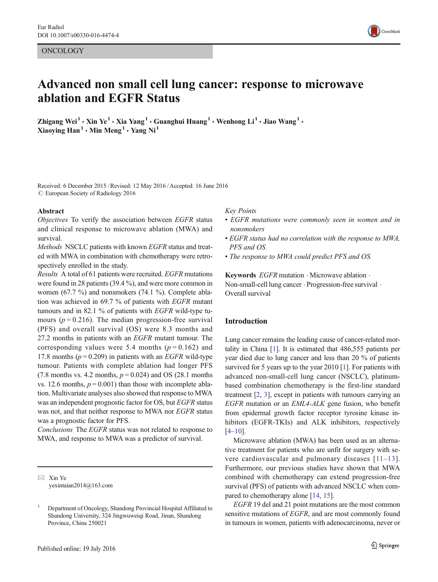ONCOLOGY

# Advanced non small cell lung cancer: response to microwave ablation and EGFR Status

Zhigang Wei<sup>1</sup> • Xin Ye<sup>1</sup> • Xia Yang<sup>1</sup> • Guanghui Huang<sup>1</sup> • Wenhong Li<sup>1</sup> • Jiao Wang<sup>1</sup> • Xiaoying  $\text{Han}^1 \cdot \text{Min } \text{Meng}^1 \cdot \text{Yang } \text{Ni}^1$ 

Received: 6 December 2015 /Revised: 12 May 2016 /Accepted: 16 June 2016 C European Society of Radiology 2016

#### Abstract

Objectives To verify the association between EGFR status and clinical response to microwave ablation (MWA) and survival.

Methods NSCLC patients with known EGFR status and treated with MWA in combination with chemotherapy were retrospectively enrolled in the study.

Results A total of 61 patients were recruited. EGFR mutations were found in 28 patients (39.4 %), and were more common in women (67.7 %) and nonsmokers (74.1 %). Complete ablation was achieved in 69.7 % of patients with EGFR mutant tumours and in 82.1 % of patients with EGFR wild-type tumours ( $p = 0.216$ ). The median progression-free survival (PFS) and overall survival (OS) were 8.3 months and 27.2 months in patients with an EGFR mutant tumour. The corresponding values were 5.4 months ( $p = 0.162$ ) and 17.8 months ( $p = 0.209$ ) in patients with an *EGFR* wild-type tumour. Patients with complete ablation had longer PFS (7.8 months vs. 4.2 months,  $p = 0.024$ ) and OS (28.1 months vs. 12.6 months,  $p = 0.001$ ) than those with incomplete ablation. Multivariate analyses also showed that response to MWA was an independent prognostic factor for OS, but EGFR status was not, and that neither response to MWA nor EGFR status was a prognostic factor for PFS.

Conclusions The EGFR status was not related to response to MWA, and response to MWA was a predictor of survival.

 $\boxtimes$  Xin Ye yexintaian2014@163.com

#### Key Points

- EGFR mutations were commonly seen in women and in nonsmokers
- EGFR status had no correlation with the response to MWA, PFS and OS.
- The response to MWA could predict PFS and OS.

Keywords  $EGFR$  mutation  $\cdot$  Microwave ablation  $\cdot$ Non-small-cell lung cancer . Progression-free survival . Overall survival

#### Introduction

Lung cancer remains the leading cause of cancer-related mortality in China [[1\]](#page-8-0). It is estimated that 486,555 patients per year died due to lung cancer and less than 20 % of patients survived for 5 years up to the year 2010 [\[1\]](#page-8-0). For patients with advanced non-small-cell lung cancer (NSCLC), platinumbased combination chemotherapy is the first-line standard treatment [[2,](#page-8-0) [3\]](#page-8-0), except in patients with tumours carrying an EGFR mutation or an EML4-ALK gene fusion, who benefit from epidermal growth factor receptor tyrosine kinase inhibitors (EGFR-TKIs) and ALK inhibitors, respectively [\[4](#page-8-0)–[10\]](#page-8-0).

Microwave ablation (MWA) has been used as an alternative treatment for patients who are unfit for surgery with severe cardiovascular and pulmonary diseases [[11](#page-8-0)–[13](#page-8-0)]. Furthermore, our previous studies have shown that MWA combined with chemotherapy can extend progression-free survival (PFS) of patients with advanced NSCLC when compared to chemotherapy alone [[14](#page-8-0), [15](#page-8-0)].

EGFR 19 del and 21 point mutations are the most common sensitive mutations of *EGFR*, and are most commonly found in tumours in women, patients with adenocarcinoma, never or



<sup>1</sup> Department of Oncology, Shandong Provincial Hospital Affiliated to Shandong University, 324 Jingwuweiqi Road, Jinan, Shandong Province, China 250021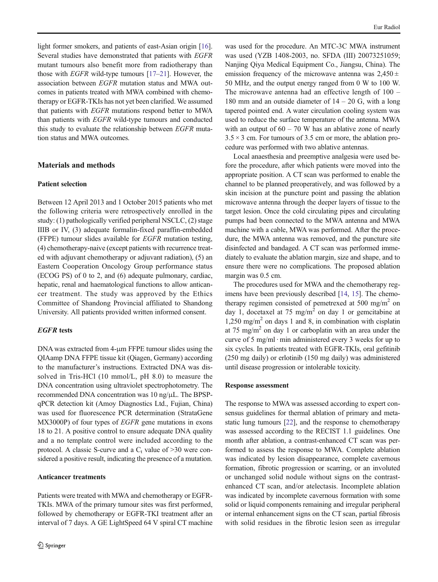light former smokers, and patients of east-Asian origin [[16\]](#page-8-0). Several studies have demonstrated that patients with EGFR mutant tumours also benefit more from radiotherapy than those with EGFR wild-type tumours [[17](#page-8-0)–[21](#page-8-0)]. However, the association between EGFR mutation status and MWA outcomes in patients treated with MWA combined with chemotherapy or EGFR-TKIs has not yet been clarified. We assumed that patients with EGFR mutations respond better to MWA than patients with EGFR wild-type tumours and conducted this study to evaluate the relationship between EGFR mutation status and MWA outcomes.

# Materials and methods

#### Patient selection

Between 12 April 2013 and 1 October 2015 patients who met the following criteria were retrospectively enrolled in the study: (1) pathologically verified peripheral NSCLC, (2) stage IIIB or IV, (3) adequate formalin-fixed paraffin-embedded (FFPE) tumour slides available for EGFR mutation testing, (4) chemotherapy-naive (except patients with recurrence treated with adjuvant chemotherapy or adjuvant radiation), (5) an Eastern Cooperation Oncology Group performance status (ECOG PS) of 0 to 2, and (6) adequate pulmonary, cardiac, hepatic, renal and haematological functions to allow anticancer treatment. The study was approved by the Ethics Committee of Shandong Provincial affiliated to Shandong University. All patients provided written informed consent.

## EGFR tests

DNA was extracted from 4-μm FFPE tumour slides using the QIAamp DNA FFPE tissue kit (Qiagen, Germany) according to the manufacturer's instructions. Extracted DNA was dissolved in Tris-HCl (10 mmol/L, pH 8.0) to measure the DNA concentration using ultraviolet spectrophotometry. The recommended DNA concentration was 10 ng/μL. The BPSPqPCR detection kit (Amoy Diagnostics Ltd., Fujian, China) was used for fluorescence PCR determination (StrataGene MX3000P) of four types of *EGFR* gene mutations in exons 18 to 21. A positive control to ensure adequate DNA quality and a no template control were included according to the protocol. A classic S-curve and a  $C_t$  value of >30 were considered a positive result, indicating the presence of a mutation.

## Anticancer treatments

Patients were treated with MWA and chemotherapy or EGFR-TKIs. MWA of the primary tumour sites was first performed, followed by chemotherapy or EGFR-TKI treatment after an interval of 7 days. A GE LightSpeed 64 V spiral CT machine

was used for the procedure. An MTC-3C MWA instrument was used (YZB 1408-2003, no. SFDA (III) 20073251059; Nanjing Qiya Medical Equipment Co., Jiangsu, China). The emission frequency of the microwave antenna was  $2,450 \pm$ 50 MHz, and the output energy ranged from 0 W to 100 W. The microwave antenna had an effective length of 100 – 180 mm and an outside diameter of  $14 - 20$  G, with a long tapered pointed end. A water circulation cooling system was used to reduce the surface temperature of the antenna. MWA with an output of  $60 - 70$  W has an ablative zone of nearly  $3.5 \times 3$  cm. For tumours of 3.5 cm or more, the ablation procedure was performed with two ablative antennas.

Local anaesthesia and preemptive analgesia were used before the procedure, after which patients were moved into the appropriate position. A CT scan was performed to enable the channel to be planned preoperatively, and was followed by a skin incision at the puncture point and passing the ablation microwave antenna through the deeper layers of tissue to the target lesion. Once the cold circulating pipes and circulating pumps had been connected to the MWA antenna and MWA machine with a cable, MWA was performed. After the procedure, the MWA antenna was removed, and the puncture site disinfected and bandaged. A CT scan was performed immediately to evaluate the ablation margin, size and shape, and to ensure there were no complications. The proposed ablation margin was 0.5 cm.

The procedures used for MWA and the chemotherapy regimens have been previously described [\[14,](#page-8-0) [15](#page-8-0)]. The chemotherapy regimen consisted of pemetrexed at 500 mg/m<sup>2</sup> on day 1, docetaxel at 75 mg/m<sup>2</sup> on day 1 or gemcitabine at 1,250 mg/m<sup>2</sup> on days 1 and 8, in combination with cisplatin at 75 mg/m<sup>2</sup> on day 1 or carboplatin with an area under the curve of 5 mg/ml  $\cdot$  min administered every 3 weeks for up to six cycles. In patients treated with EGFR-TKIs, oral gefitinib (250 mg daily) or erlotinib (150 mg daily) was administered until disease progression or intolerable toxicity.

#### Response assessment

The response to MWA was assessed according to expert consensus guidelines for thermal ablation of primary and metastatic lung tumours [\[22\]](#page-8-0), and the response to chemotherapy was assessed according to the RECIST 1.1 guidelines. One month after ablation, a contrast-enhanced CT scan was performed to assess the response to MWA. Complete ablation was indicated by lesion disappearance, complete cavernous formation, fibrotic progression or scarring, or an involuted or unchanged solid nodule without signs on the contrastenhanced CT scan, and/or atelectasis. Incomplete ablation was indicated by incomplete cavernous formation with some solid or liquid components remaining and irregular peripheral or internal enhancement signs on the CT scan, partial fibrosis with solid residues in the fibrotic lesion seen as irregular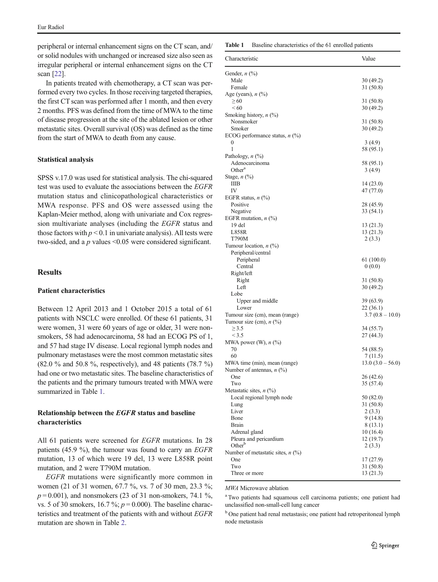peripheral or internal enhancement signs on the CT scan, and/ or solid nodules with unchanged or increased size also seen as irregular peripheral or internal enhancement signs on the CT scan [\[22\]](#page-8-0).

In patients treated with chemotherapy, a CT scan was performed every two cycles. In those receiving targeted therapies, the first CT scan was performed after 1 month, and then every 2 months. PFS was defined from the time of MWA to the time of disease progression at the site of the ablated lesion or other metastatic sites. Overall survival (OS) was defined as the time from the start of MWA to death from any cause.

#### Statistical analysis

SPSS v.17.0 was used for statistical analysis. The chi-squared test was used to evaluate the associations between the EGFR mutation status and clinicopathological characteristics or MWA response. PFS and OS were assessed using the Kaplan-Meier method, along with univariate and Cox regression multivariate analyses (including the EGFR status and those factors with  $p < 0.1$  in univariate analysis). All tests were two-sided, and a  $p$  values <0.05 were considered significant.

# Results

## Patient characteristics

Between 12 April 2013 and 1 October 2015 a total of 61 patients with NSCLC were enrolled. Of these 61 patients, 31 were women, 31 were 60 years of age or older, 31 were nonsmokers, 58 had adenocarcinoma, 58 had an ECOG PS of 1, and 57 had stage IV disease. Local regional lymph nodes and pulmonary metastases were the most common metastatic sites (82.0 % and 50.8 %, respectively), and 48 patients (78.7 %) had one or two metastatic sites. The baseline characteristics of the patients and the primary tumours treated with MWA were summarized in Table 1.

# Relationship between the EGFR status and baseline characteristics

All 61 patients were screened for EGFR mutations. In 28 patients (45.9 %), the tumour was found to carry an EGFR mutation, 13 of which were 19 del, 13 were L858R point mutation, and 2 were T790M mutation.

EGFR mutations were significantly more common in women (21 of 31 women, 67.7 %, vs. 7 of 30 men, 23.3 %;  $p = 0.001$ ), and nonsmokers (23 of 31 non-smokers, 74.1 %, vs. 5 of 30 smokers, 16.7 %;  $p = 0.000$ ). The baseline characteristics and treatment of the patients with and without EGFR mutation are shown in Table [2.](#page-3-0)

Table 1 Baseline characteristics of the 61 enrolled patients

| Characteristic                         | Value            |
|----------------------------------------|------------------|
| Gender, $n$ $\left(\frac{9}{0}\right)$ |                  |
| Male                                   | 30 (49.2)        |
| Female                                 | 31 (50.8)        |
| Age (years), $n$ $(\%)$                |                  |
| $\geq 60$                              | 31 (50.8)        |
| <60                                    | 30 (49.2)        |
| Smoking history, $n$ (%)               |                  |
| Nonsmoker                              | 31(50.8)         |
| Smoker                                 | 30 (49.2)        |
| ECOG performance status, $n$ (%)       |                  |
| 0                                      | 3(4.9)           |
| 1                                      | 58 (95.1)        |
| Pathology, $n$ $(\%)$                  |                  |
| Adenocarcinoma                         | 58 (95.1)        |
| Other <sup>a</sup>                     | 3(4.9)           |
| Stage, $n$ $\left(\frac{0}{0}\right)$  |                  |
| ШB                                     | 14 (23.0)        |
| IV                                     | 47 (77.0)        |
| EGFR status, $n$ (%)                   |                  |
| Positive                               | 28 (45.9)        |
| Negative                               | 33 (54.1)        |
| EGFR mutation, $n$ (%)                 |                  |
| 19 del                                 |                  |
| L858R                                  | 13 (21.3)        |
|                                        | 13 (21.3)        |
| T790M                                  | 2(3.3)           |
| Tumour location, $n$ (%)               |                  |
| Peripheral/central                     |                  |
| Peripheral                             | 61 (100.0)       |
| Central                                | 0(0.0)           |
| Right/left                             |                  |
| Right                                  | 31 (50.8)        |
| Left                                   | 30 (49.2)        |
| Lobe                                   |                  |
| Upper and middle                       | 39 (63.9)        |
| Lower                                  | 22 (36.1)        |
| Tumour size (cm), mean (range)         | $3.7(0.8-10.0)$  |
| Tumour size (cm), $n$ (%)              |                  |
| $\geq 3.5$                             | 34 (55.7)        |
| < 3.5                                  | 27 (44.3)        |
| MWA power (W), $n$ (%)                 |                  |
| 70                                     | 54 (88.5)        |
| 60                                     | 7 (11.5)         |
| MWA time (min), mean (range)           | $13.0(3.0-56.0)$ |
| Number of antennas, $n$ (%)            |                  |
| One                                    | 26 (42.6)        |
| Two                                    | 35 (57.4)        |
| Metastatic sites, $n$ (%)              |                  |
| Local regional lymph node              | 50 (82.0)        |
| Lung                                   | 31 (50.8)        |
| Liver                                  | 2(3.3)           |
| Bone                                   | 9(14.8)          |
| Brain                                  | 8(13.1)          |
| Adrenal gland                          | 10(16.4)         |
| Pleura and pericardium                 | 12 (19.7)        |
| $Other^b$                              | 2(3.3)           |
| Number of metastatic sites, $n$ (%)    |                  |
| One                                    | 17 (27.9)        |
| Two                                    |                  |
|                                        | 31(50.8)         |
| Three or more                          | 13 (21.3)        |

MWA Microwave ablation

<sup>a</sup> Two patients had squamous cell carcinoma patients; one patient had unclassified non-small-cell lung cancer

<sup>b</sup> One patient had renal metastasis; one patient had retroperitoneal lymph node metastasis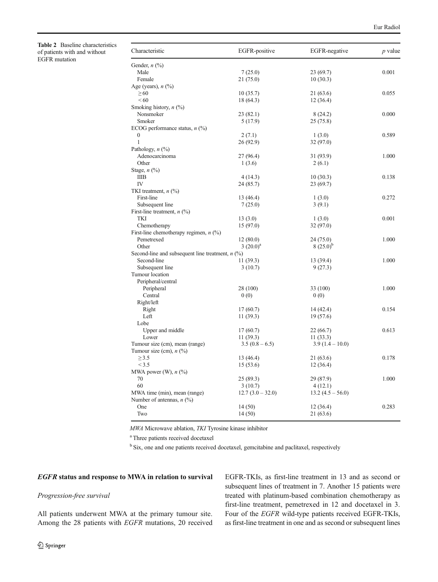<span id="page-3-0"></span>Table 2 Baseline characteristics of patients with and without EGFR mutation

| Characteristic                                     | EGFR-positive    | EGFR-negative    | $p$ value |
|----------------------------------------------------|------------------|------------------|-----------|
| Gender, $n$ $(\%)$                                 |                  |                  |           |
| Male                                               | 7(25.0)          | 23(69.7)         | 0.001     |
| Female                                             | 21(75.0)         | 10(30.3)         |           |
| Age (years), $n$ (%)                               |                  |                  |           |
| $\geq 60$                                          | 10(35.7)         | 21 (63.6)        | 0.055     |
| ${}_{<60}$                                         | 18 (64.3)        | 12(36.4)         |           |
| Smoking history, $n$ (%)                           |                  |                  |           |
| Nonsmoker                                          | 23(82.1)         | 8 (24.2)         | 0.000     |
| Smoker                                             | 5(17.9)          | 25(75.8)         |           |
| ECOG performance status, $n$ (%)                   |                  |                  |           |
| $\boldsymbol{0}$                                   | 2(7.1)           | 1(3.0)           | 0.589     |
| $\mathbf{1}$                                       | 26 (92.9)        | 32 (97.0)        |           |
| Pathology, $n$ $\left(\frac{0}{0}\right)$          |                  |                  |           |
| Adenocarcinoma                                     | 27 (96.4)        | 31 (93.9)        | 1.000     |
| Other                                              | 1(3.6)           | 2(6.1)           |           |
| Stage, $n$ $\left(\frac{9}{0}\right)$              |                  |                  |           |
| IIIB                                               | 4(14.3)          | 10(30.3)         | 0.138     |
| IV                                                 | 24 (85.7)        | 23 (69.7)        |           |
| TKI treatment, $n$ (%)                             |                  |                  |           |
| First-line                                         | 13 (46.4)        | 1(3.0)           | 0.272     |
| Subsequent line                                    | 7(25.0)          | 3(9.1)           |           |
| First-line treatment, $n$ (%)                      |                  |                  |           |
| TKI                                                | 13(3.0)          | 1(3.0)           | 0.001     |
| Chemotherapy                                       | 15(97.0)         | 32 (97.0)        |           |
| First-line chemotherapy regimen, $n$ (%)           |                  |                  |           |
| Pemetrexed                                         | 12(80.0)         | 24 (75.0)        | 1.000     |
| Other                                              | $3(20.0)^a$      | $8(25.0)^{p}$    |           |
| Second-line and subsequent line treatment, $n$ (%) |                  |                  |           |
| Second-line                                        | 11(39.3)         | 13 (39.4)        | 1.000     |
| Subsequent line                                    | 3(10.7)          | 9(27.3)          |           |
| Tumour location                                    |                  |                  |           |
| Peripheral/central                                 |                  |                  |           |
| Peripheral                                         | 28 (100)         | 33 (100)         | 1.000     |
| Central                                            | 0(0)             | 0(0)             |           |
| Right/left                                         |                  |                  |           |
| Right                                              | 17(60.7)         | 14 (42.4)        | 0.154     |
| Left                                               | 11(39.3)         | 19 (57.6)        |           |
| Lobe                                               |                  |                  |           |
| Upper and middle                                   | 17(60.7)         | 22(66.7)         | 0.613     |
| Lower                                              | 11(39.3)         | 11(33.3)         |           |
| Tumour size (cm), mean (range)                     | $3.5(0.8-6.5)$   | $3.9(1.4-10.0)$  |           |
| Tumour size (cm), $n$ (%)                          |                  |                  |           |
| $\geq$ 3.5                                         | 13 (46.4)        | 21 (63.6)        | 0.178     |
| < 3.5                                              | 15(53.6)         | 12(36.4)         |           |
| MWA power (W), $n$ (%)                             |                  |                  |           |
| 70                                                 | 25 (89.3)        | 29 (87.9)        | 1.000     |
| 60                                                 | 3(10.7)          | 4(12.1)          |           |
| MWA time (min), mean (range)                       | $12.7(3.0-32.0)$ | $13.2(4.5-56.0)$ |           |
| Number of antennas, $n$ (%)                        |                  |                  |           |
| One                                                | 14 (50)          | 12 (36.4)        | 0.283     |
| Two                                                | 14(50)           | 21 (63.6)        |           |
|                                                    |                  |                  |           |

MWA Microwave ablation, TKI Tyrosine kinase inhibitor

<sup>a</sup> Three patients received docetaxel

<sup>b</sup> Six, one and one patients received docetaxel, gemcitabine and paclitaxel, respectively

# EGFR status and response to MWA in relation to survival

## Progression-free survival

All patients underwent MWA at the primary tumour site. Among the 28 patients with EGFR mutations, 20 received EGFR-TKIs, as first-line treatment in 13 and as second or subsequent lines of treatment in 7. Another 15 patients were treated with platinum-based combination chemotherapy as first-line treatment, pemetrexed in 12 and docetaxel in 3. Four of the EGFR wild-type patients received EGFR-TKIs, as first-line treatment in one and as second or subsequent lines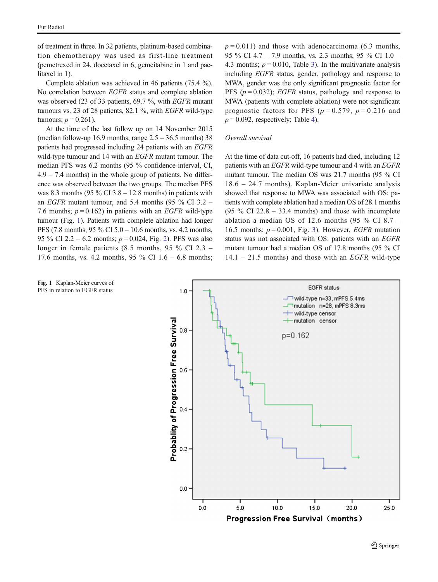of treatment in three. In 32 patients, platinum-based combination chemotherapy was used as first-line treatment (pemetrexed in 24, docetaxel in 6, gemcitabine in 1 and paclitaxel in 1).

Complete ablation was achieved in 46 patients (75.4 %). No correlation between EGFR status and complete ablation was observed (23 of 33 patients, 69.7 %, with EGFR mutant tumours vs. 23 of 28 patients, 82.1 %, with EGFR wild-type tumours;  $p = 0.261$ ).

At the time of the last follow up on 14 November 2015 (median follow-up 16.9 months, range  $2.5 - 36.5$  months) 38 patients had progressed including 24 patients with an EGFR wild-type tumour and 14 with an *EGFR* mutant tumour. The median PFS was 6.2 months (95 % confidence interval, CI,  $4.9 - 7.4$  months) in the whole group of patients. No difference was observed between the two groups. The median PFS was 8.3 months (95  $\%$  CI 3.8 – 12.8 months) in patients with an EGFR mutant tumour, and 5.4 months (95 % CI 3.2 – 7.6 months;  $p = 0.162$ ) in patients with an *EGFR* wild-type tumour (Fig. 1). Patients with complete ablation had longer PFS (7.8 months, 95 % CI 5.0 – 10.6 months, vs. 4.2 months, 95 % CI 2.2 – 6.2 months;  $p = 0.024$ , Fig. [2\)](#page-5-0). PFS was also longer in female patients (8.5 months, 95 % CI 2.3 – 17.6 months, vs. 4.2 months, 95  $\%$  CI 1.6 – 6.8 months;

 $p = 0.011$ ) and those with adenocarcinoma (6.3 months, 95 % CI 4.7 – 7.9 months, vs. 2.3 months, 95 % CI 1.0 – 4.3 months;  $p = 0.010$ , Table [3\)](#page-5-0). In the multivariate analysis including EGFR status, gender, pathology and response to MWA, gender was the only significant prognostic factor for PFS ( $p = 0.032$ ); *EGFR* status, pathology and response to MWA (patients with complete ablation) were not significant prognostic factors for PFS ( $p = 0.579$ ,  $p = 0.216$  and  $p = 0.092$ , respectively; Table [4](#page-5-0)).

#### Overall survival

At the time of data cut-off, 16 patients had died, including 12 patients with an EGFR wild-type tumour and 4 with an EGFR mutant tumour. The median OS was 21.7 months (95 % CI 18.6 – 24.7 months). Kaplan-Meier univariate analysis showed that response to MWA was associated with OS: patients with complete ablation had a median OS of 28.1 months  $(95\% \text{ CI } 22.8 - 33.4 \text{ months})$  and those with incomplete ablation a median OS of 12.6 months (95 % CI 8.7 – 16.5 months;  $p = 0.001$ , Fig. [3\)](#page-6-0). However, *EGFR* mutation status was not associated with OS: patients with an EGFR mutant tumour had a median OS of 17.8 months (95 % CI  $14.1 - 21.5$  months) and those with an *EGFR* wild-type



Fig. 1 Kaplan-Meier curves of PFS in relation to EGFR status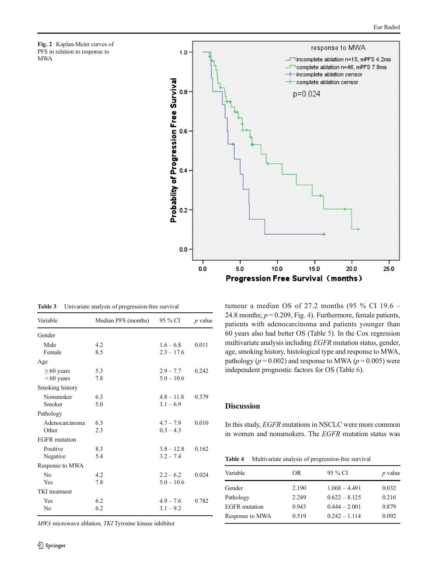<span id="page-5-0"></span>



Table 3 Univariate analysis of progression-free survival

| Variable             | Median PFS (months) | 95 % CI      | <i>p</i> value |
|----------------------|---------------------|--------------|----------------|
| Gender               |                     |              |                |
| Male                 | 4.2                 | $1.6 - 6.8$  | 0.011          |
| Female               | 8.5                 | $2.3 - 17.6$ |                |
| Age                  |                     |              |                |
| $\geq 60$ years      | 5.3                 | $2.9 - 7.7$  | 0.242          |
| $<60$ years          | 7.8                 | $5.0 - 10.6$ |                |
| Smoking history      |                     |              |                |
| Nonsmoker            | 6.3                 | $4.8 - 11.8$ | 0.379          |
| Smoker               | 5.0                 | $3.1 - 6.9$  |                |
| Pathology            |                     |              |                |
| Adenocarcinoma       | 6.3                 | $4.7 - 7.9$  | 0.010          |
| Other                | 2.3                 | $0.3 - 4.3$  |                |
| <b>EGFR</b> mutation |                     |              |                |
| Positive             | 8.3                 | $3.8 - 12.8$ | 0.162          |
| Negative             | 5.4                 | $3.2 - 7.4$  |                |
| Response to MWA      |                     |              |                |
| N <sub>0</sub>       | 4.2                 | $2.2 - 6.2$  | 0.024          |
| Yes                  | 7.8                 | $5.0 - 10.6$ |                |
| <b>TKI</b> treatment |                     |              |                |
| Yes                  | 6.2                 | $4.9 - 7.6$  | 0.782          |
| N <sub>0</sub>       | 6.2                 | $3.1 - 9.2$  |                |

MWA microwave ablation, TKI Tyrosine kinase inhibitor

tumour a median OS of 27.2 months (95 % CI 19.6 – 24.8 months;  $p = 0.209$ , Fig. [4\)](#page-7-0). Furthermore, female patients, patients with adenocarcinoma and patients younger than 60 years also had better OS (Table [5\)](#page-7-0). In the Cox regression multivariate analysis including EGFR mutation status, gender, age, smoking history, histological type and response to MWA, pathology ( $p = 0.002$ ) and response to MWA ( $p = 0.005$ ) were independent prognostic factors for OS (Table [6](#page-7-0)).

# Discussion

In this study, EGFR mutations in NSCLC were more common in women and nonsmokers. The EGFR mutation status was

| <b>Table 4</b> |  |  |  | Multivariate analysis of progression-free survival |  |
|----------------|--|--|--|----------------------------------------------------|--|
|----------------|--|--|--|----------------------------------------------------|--|

| Variable             | OR.   | 95 % CI         | <i>p</i> value |
|----------------------|-------|-----------------|----------------|
| Gender               | 2.190 | $1.068 - 4.491$ | 0.032          |
| Pathology            | 2.249 | $0.622 - 8.125$ | 0.216          |
| <b>EGFR</b> mutation | 0.943 | $0.444 - 2.001$ | 0.879          |
| Response to MWA      | 0.519 | $0.242 - 1.114$ | 0.092          |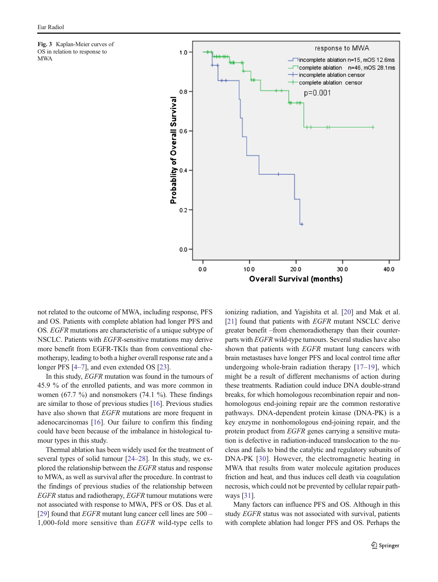<span id="page-6-0"></span>Fig. 3 Kaplan-Meier curves of OS in relation to response to MWA



not related to the outcome of MWA, including response, PFS and OS. Patients with complete ablation had longer PFS and OS. EGFR mutations are characteristic of a unique subtype of NSCLC. Patients with EGFR-sensitive mutations may derive more benefit from EGFR-TKIs than from conventional chemotherapy, leading to both a higher overall response rate and a longer PFS [\[4](#page-8-0)–[7](#page-8-0)], and even extended OS [\[23\]](#page-8-0).

In this study, EGFR mutation was found in the tumours of 45.9 % of the enrolled patients, and was more common in women (67.7  $\%$ ) and nonsmokers (74.1  $\%$ ). These findings are similar to those of previous studies [[16](#page-8-0)]. Previous studies have also shown that *EGFR* mutations are more frequent in adenocarcinomas [[16](#page-8-0)]. Our failure to confirm this finding could have been because of the imbalance in histological tumour types in this study.

Thermal ablation has been widely used for the treatment of several types of solid tumour [[24](#page-8-0)–[28](#page-8-0)]. In this study, we explored the relationship between the EGFR status and response to MWA, as well as survival after the procedure. In contrast to the findings of previous studies of the relationship between EGFR status and radiotherapy, EGFR tumour mutations were not associated with response to MWA, PFS or OS. Das et al. [\[29\]](#page-8-0) found that *EGFR* mutant lung cancer cell lines are  $500 -$ 1,000-fold more sensitive than EGFR wild-type cells to ionizing radiation, and Yagishita et al. [[20\]](#page-8-0) and Mak et al. [\[21](#page-8-0)] found that patients with *EGFR* mutant NSCLC derive greater benefit –from chemoradiotherapy than their counterparts with EGFR wild-type tumours. Several studies have also shown that patients with EGFR mutant lung cancers with brain metastases have longer PFS and local control time after undergoing whole-brain radiation therapy [[17](#page-8-0)–[19](#page-8-0)], which might be a result of different mechanisms of action during these treatments. Radiation could induce DNA double-strand breaks, for which homologous recombination repair and nonhomologous end-joining repair are the common restorative pathways. DNA-dependent protein kinase (DNA-PK) is a key enzyme in nonhomologous end-joining repair, and the protein product from EGFR genes carrying a sensitive mutation is defective in radiation-induced translocation to the nucleus and fails to bind the catalytic and regulatory subunits of DNA-PK [[30](#page-8-0)]. However, the electromagnetic heating in MWA that results from water molecule agitation produces friction and heat, and thus induces cell death via coagulation necrosis, which could not be prevented by cellular repair pathways [[31\]](#page-8-0).

Many factors can influence PFS and OS. Although in this study EGFR status was not associated with survival, patients with complete ablation had longer PFS and OS. Perhaps the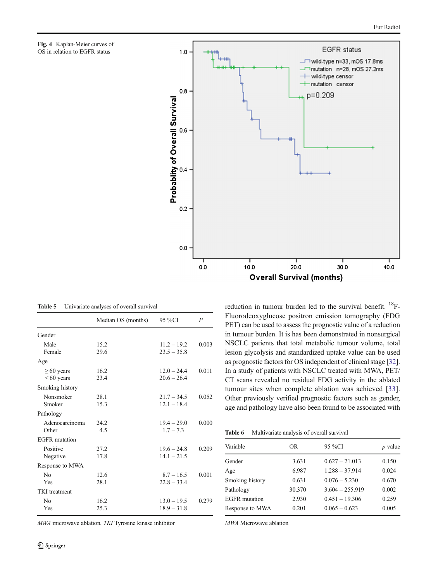<span id="page-7-0"></span>



Table 5 Univariate analyses of overall survival

|                                | Median OS (months) | 95 %CI                         | $\boldsymbol{P}$ |
|--------------------------------|--------------------|--------------------------------|------------------|
| Gender                         |                    |                                |                  |
| Male<br>Female                 | 15.2<br>29.6       | $11.2 - 19.2$<br>$23.5 - 35.8$ | 0.003            |
| Age                            |                    |                                |                  |
| $\geq 60$ years<br>$<60$ years | 16.2<br>23.4       | $12.0 - 24.4$<br>$20.6 - 26.4$ | 0.011            |
| Smoking history                |                    |                                |                  |
| Nonsmoker<br>Smoker            | 28.1<br>15.3       | $21.7 - 34.5$<br>$12.1 - 18.4$ | 0.052            |
| Pathology                      |                    |                                |                  |
| Adenocarcinoma<br>Other        | 24.2<br>4.5        | $19.4 - 29.0$<br>$1.7 - 7.3$   | 0.000            |
| EGFR mutation                  |                    |                                |                  |
| Positive<br>Negative           | 27.2<br>17.8       | $19.6 - 24.8$<br>$14.1 - 21.5$ | 0.209            |
| Response to MWA                |                    |                                |                  |
| N <sub>0</sub><br>Yes          | 12.6<br>28.1       | $8.7 - 16.5$<br>$22.8 - 33.4$  | 0.001            |
| <b>TKI</b> treatment           |                    |                                |                  |
| No<br>Yes                      | 16.2<br>25.3       | $13.0 - 19.5$<br>$18.9 - 31.8$ | 0.279            |

MWA microwave ablation, TKI Tyrosine kinase inhibitor

reduction in tumour burden led to the survival benefit.  $^{18}$ F-Fluorodeoxyglucose positron emission tomography (FDG PET) can be used to assess the prognostic value of a reduction in tumour burden. It is has been demonstrated in nonsurgical NSCLC patients that total metabolic tumour volume, total lesion glycolysis and standardized uptake value can be used as prognostic factors for OS independent of clinical stage [[32\]](#page-9-0). In a study of patients with NSCLC treated with MWA, PET/ CT scans revealed no residual FDG activity in the ablated tumour sites when complete ablation was achieved [[33](#page-9-0)]. Other previously verified prognostic factors such as gender, age and pathology have also been found to be associated with

Table 6 Multivariate analysis of overall survival

| Variable             | OR.    | 95 %CI            | <i>p</i> value |
|----------------------|--------|-------------------|----------------|
| Gender               | 3.631  | $0.627 - 21.013$  | 0.150          |
| Age                  | 6.987  | $1.288 - 37.914$  | 0.024          |
| Smoking history      | 0.631  | $0.076 - 5.230$   | 0.670          |
| Pathology            | 30.370 | $3.604 - 255.919$ | 0.002          |
| <b>EGFR</b> mutation | 2.930  | $0.451 - 19.306$  | 0.259          |
| Response to MWA      | 0.201  | $0.065 - 0.623$   | 0.005          |

MWA Microwave ablation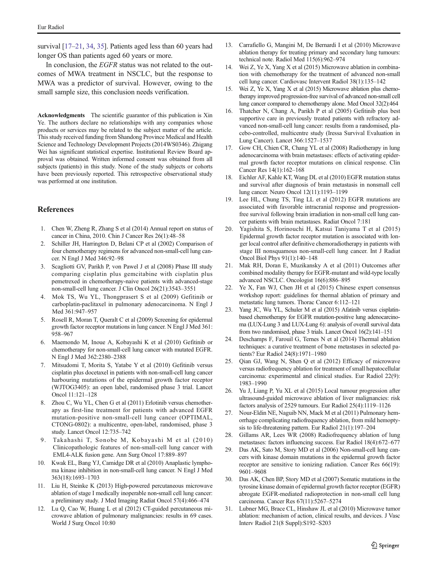<span id="page-8-0"></span>survival [17–21, [34,](#page-9-0) [35\]](#page-9-0). Patients aged less than 60 years had longer OS than patients aged 60 years or more.

In conclusion, the *EGFR* status was not related to the outcomes of MWA treatment in NSCLC, but the response to MWA was a predictor of survival. However, owing to the small sample size, this conclusion needs verification.

Acknowledgments The scientific guarantor of this publication is Xin Ye. The authors declare no relationships with any companies whose products or services may be related to the subject matter of the article. This study received funding from Shandong Province Medical and Health Science and Technology Development Projects (2014WS0346). Zhigang Wei has significant statistical expertise. Institutional Review Board approval was obtained. Written informed consent was obtained from all subjects (patients) in this study. None of the study subjects or cohorts have been previously reported. This retrospective observational study was performed at one institution.

## References

- 1. Chen W, Zheng R, Zhang S et al (2014) Annual report on status of cancer in China, 2010. Chin J Cancer Res 26(1):48–58
- Schiller JH, Harrington D, Belani CP et al (2002) Comparison of four chemotherapy regimens for advanced non-small-cell lung cancer. N Engl J Med 346:92–98
- 3. Scagliotti GV, Parikh P, von Pawel J et al (2008) Phase III study comparing cisplatin plus gemcitabine with cisplatin plus pemetrexed in chemotherapy-naive patients with advanced-stage non-small-cell lung cancer. J Clin Oncol 26(21):3543–3551
- 4. Mok TS, Wu YL, Thongprasert S et al (2009) Gefitinib or carboplatin-paclitaxel in pulmonary adenocarcinoma. N Engl J Med 361:947–957
- 5. Rosell R, Moran T, Queralt C et al (2009) Screening for epidermal growth factor receptor mutations in lung cancer. N Engl J Med 361: 958–967
- 6. Maemondo M, Inoue A, Kobayashi K et al (2010) Gefitinib or chemotherapy for non-small-cell lung cancer with mutated EGFR. N Engl J Med 362:2380–2388
- 7. Mitsudomi T, Morita S, Yatabe Y et al (2010) Gefitinib versus cisplatin plus docetaxel in patients with non-small-cell lung cancer harbouring mutations of the epidermal growth factor receptor (WJTOG3405): an open label, randomised phase 3 trial. Lancet Oncol 11:121–128
- Zhou C, Wu YL, Chen G et al (2011) Erlotinib versus chemotherapy as first-line treatment for patients with advanced EGFR mutation-positive non-small-cell lung cancer (OPTIMAL, CTONG-0802): a multicentre, open-label, randomised, phase 3 study. Lancet Oncol 12:735–742
- 9. Takahashi T, Sonobe M, Kobayashi M et al (2010) Clinicopathologic features of non-small-cell lung cancer with EML4-ALK fusion gene. Ann Surg Oncol 17:889–897
- 10. Kwak EL, Bang YJ, Camidge DR et al (2010) Anaplastic lymphoma kinase inhibition in non-small-cell lung cancer. N Engl J Med 363(18):1693–1703
- 11. Liu H, Steinke K (2013) High-powered percutaneous microwave ablation of stage I medically inoperable non‐small cell lung cancer: a preliminary study. J Med Imaging Radiat Oncol 57(4):466–474
- 12. Lu Q, Cao W, Huang L et al (2012) CT-guided percutaneous microwave ablation of pulmonary malignancies: results in 69 cases. World J Surg Oncol 10:80
- 13. Carrafiello G, Mangini M, De Bernardi I et al (2010) Microwave ablation therapy for treating primary and secondary lung tumours: technical note. Radiol Med 115(6):962–974
- 14. Wei Z, Ye X, Yang X et al (2015) Microwave ablation in combination with chemotherapy for the treatment of advanced non-small cell lung cancer. Cardiovasc Intervent Radiol 38(1):135–142
- 15. Wei Z, Ye X, Yang X et al (2015) Microwave ablation plus chemotherapy improved progression-free survival of advanced non-small cell lung cancer compared to chemotherapy alone. Med Oncol 32(2):464
- 16. Thatcher N, Chang A, Parikh P et al (2005) Gefitinib plus best supportive care in previously treated patients with refractory advanced non-small-cell lung cancer: results from a randomised, placebo-controlled, multicentre study (Iressa Survival Evaluation in Lung Cancer). Lancet 366:1527–1537
- 17. Gow CH, Chien CR, Chang YL et al (2008) Radiotherapy in lung adenocarcinoma with brain metastases: effects of activating epidermal growth factor receptor mutations on clinical response. Clin Cancer Res 14(1):162–168
- 18. Eichler AF, Kahle KT, Wang DL et al (2010) EGFR mutation status and survival after diagnosis of brain metastasis in nonsmall cell lung cancer. Neuro Oncol 12(11):1193–1199
- 19. Lee HL, Chung TS, Ting LL et al (2012) EGFR mutations are associated with favorable intracranial response and progressionfree survival following brain irradiation in non-small cell lung cancer patients with brain metastases. Radiat Oncol 7:181
- 20. Yagishita S, Horinouchi H, Katsui Taniyama T et al (2015) Epidermal growth factor receptor mutation is associated with longer local control after definitive chemoradiotherapy in patients with stage III nonsquamous non-small-cell lung cancer. Int J Radiat Oncol Biol Phys 91(1):140–148
- 21. Mak RH, Doran E, Muzikansky A et al (2011) Outcomes after combined modality therapy for EGFR-mutant and wild-type locally advanced NSCLC. Oncologist 16(6):886–895
- 22. Ye X, Fan WJ, Chen JH et al (2015) Chinese expert consensus workshop report: guidelines for thermal ablation of primary and metastatic lung tumors. Thorac Cancer 6:112–121
- 23. Yang JC, Wu YL, Schuler M et al (2015) Afatinib versus cisplatinbased chemotherapy for EGFR mutation-positive lung adenocarcinoma (LUX-Lung 3 and LUX-Lung 6): analysis of overall survival data from two randomised, phase 3 trials. Lancet Oncol 16(2):141–151
- 24. Deschamps F, Farouil G, Ternes N et al (2014) Thermal ablation techniques: a curative treatment of bone metastases in selected patients? Eur Radiol 24(8):1971–1980
- 25. Qian GJ, Wang N, Shen Q et al (2012) Efficacy of microwave versus radiofrequency ablation for treatment of small hepatocellular carcinoma: experimental and clinical studies. Eur Radiol 22(9): 1983–1990
- 26. Yu J, Liang P, Yu XL et al (2015) Local tumour progression after ultrasound-guided microwave ablation of liver malignancies: risk factors analysis of 2529 tumours. Eur Radiol 25(4):1119–1126
- 27. Nour-Eldin NE, Naguib NN, Mack M et al (2011) Pulmonary hemorrhage complicating radiofrequency ablation, from mild hemoptysis to life-threatening pattern. Eur Radiol 21(1):197–204
- 28. Gillams AR, Lees WR (2008) Radiofrequency ablation of lung metastases: factors influencing success. Eur Radiol 18(4):672–677
- 29. Das AK, Sato M, Story MD et al (2006) Non-small-cell lung cancers with kinase domain mutations in the epidermal growth factor receptor are sensitive to ionizing radiation. Cancer Res 66(19): 9601–9608
- 30. Das AK, Chen BP, Story MD et al (2007) Somatic mutations in the tyrosine kinase domain of epidermal growth factor receptor (EGFR) abrogate EGFR-mediated radioprotection in non-small cell lung carcinoma. Cancer Res 67(11):5267–5274
- 31. Lubner MG, Brace CL, Hinshaw JL et al (2010) Microwave tumor ablation: mechanism of action, clinical results, and devices. J Vasc Interv Radiol 21(8 Suppl):S192–S203